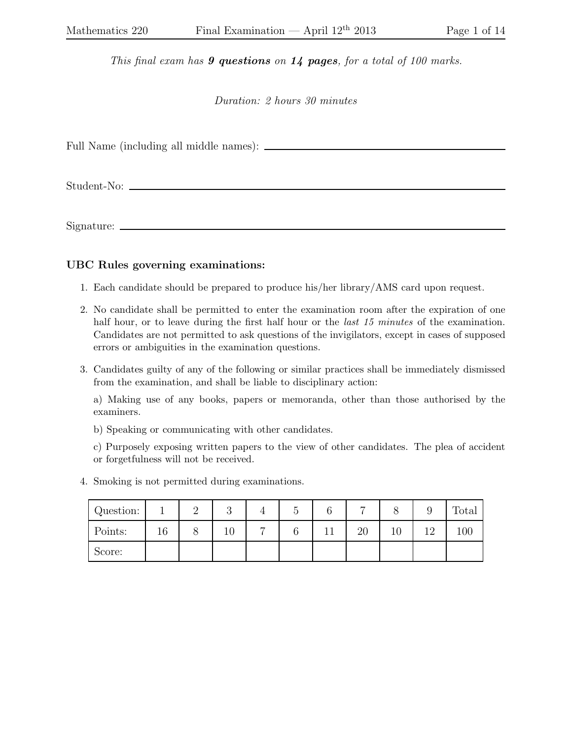*This final exam has* 9 questions *on* 14 pages*, for a total of 100 marks.*

*Duration: 2 hours 30 minutes*

Full Name (including all middle names):

Student-No:

Signature:

## UBC Rules governing examinations:

- 1. Each candidate should be prepared to produce his/her library/AMS card upon request.
- 2. No candidate shall be permitted to enter the examination room after the expiration of one half hour, or to leave during the first half hour or the *last 15 minutes* of the examination. Candidates are not permitted to ask questions of the invigilators, except in cases of supposed errors or ambiguities in the examination questions.
- 3. Candidates guilty of any of the following or similar practices shall be immediately dismissed from the examination, and shall be liable to disciplinary action:

a) Making use of any books, papers or memoranda, other than those authorised by the examiners.

b) Speaking or communicating with other candidates.

c) Purposely exposing written papers to the view of other candidates. The plea of accident or forgetfulness will not be received.

4. Smoking is not permitted during examinations.

| Question: |    | $\Omega$<br>ಀ |                | U      | ⌒  | $\overline{ }$ | 0  |     | Total |
|-----------|----|---------------|----------------|--------|----|----------------|----|-----|-------|
| Points:   | 16 | 10            | $\overline{ }$ | $\sim$ | ⊥⊥ | 20             | 10 | 1 ດ | 100   |
| Score:    |    |               |                |        |    |                |    |     |       |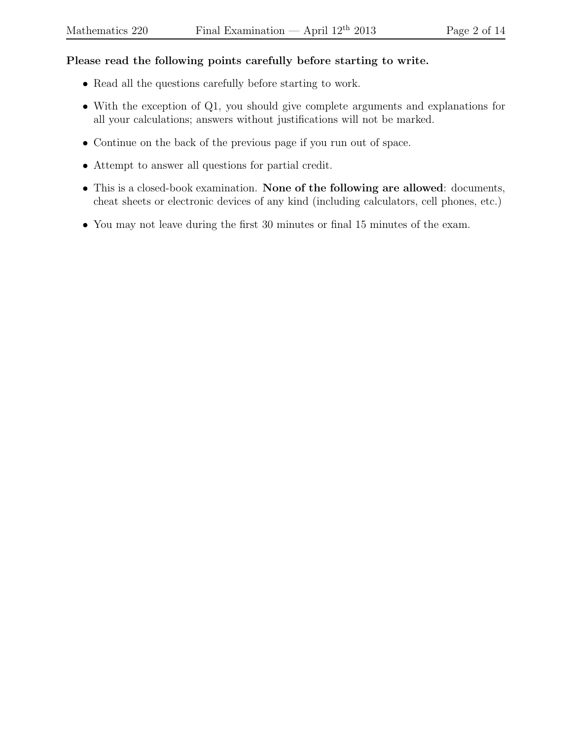## Please read the following points carefully before starting to write.

- Read all the questions carefully before starting to work.
- With the exception of Q1, you should give complete arguments and explanations for all your calculations; answers without justifications will not be marked.
- Continue on the back of the previous page if you run out of space.
- Attempt to answer all questions for partial credit.
- This is a closed-book examination. None of the following are allowed: documents, cheat sheets or electronic devices of any kind (including calculators, cell phones, etc.)
- You may not leave during the first 30 minutes or final 15 minutes of the exam.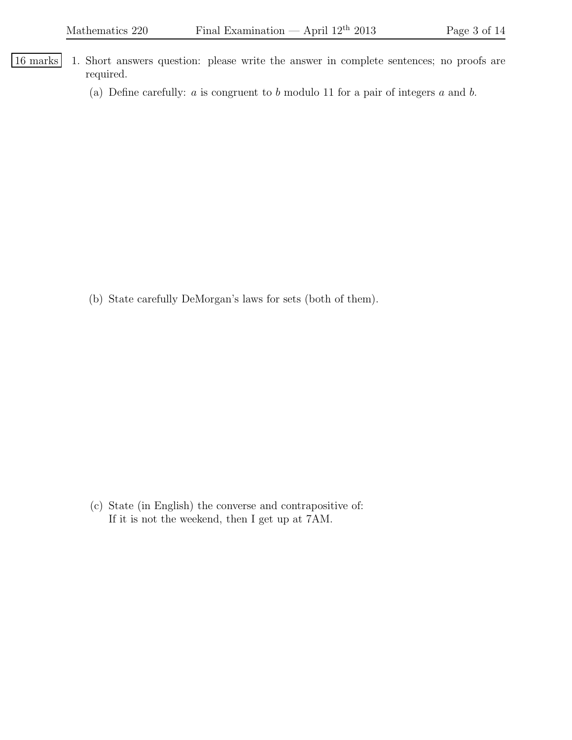- 16 marks 1. Short answers question: please write the answer in complete sentences; no proofs are required.
	- (a) Define carefully:  $a$  is congruent to  $b$  modulo 11 for a pair of integers  $a$  and  $b$ .

(b) State carefully DeMorgan's laws for sets (both of them).

(c) State (in English) the converse and contrapositive of: If it is not the weekend, then I get up at 7AM.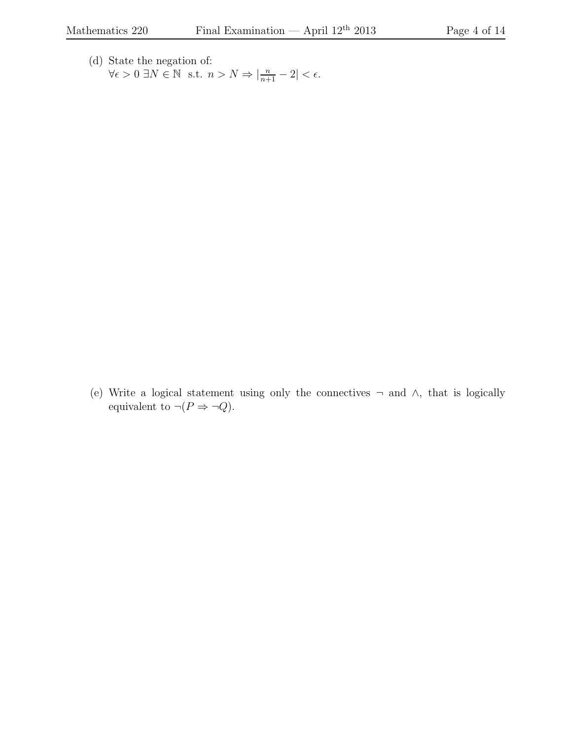(d) State the negation of:  $\forall \epsilon > 0 \ \exists N \in \mathbb{N} \ \text{ s.t. } n > N \Rightarrow |\frac{n}{n+1} - 2| < \epsilon.$ 

(e) Write a logical statement using only the connectives ¬ and ∧, that is logically equivalent to  $\neg (P \Rightarrow \neg Q)$ .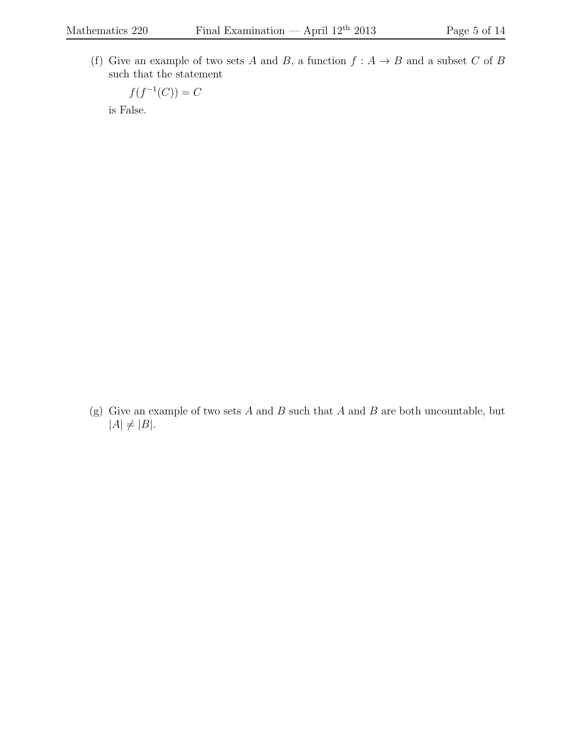(f) Give an example of two sets A and B, a function  $f : A \rightarrow B$  and a subset C of B such that the statement

$$
f(f^{-1}(C)) = C
$$

is False.

(g) Give an example of two sets  $A$  and  $B$  such that  $A$  and  $B$  are both uncountable, but  $|A| \neq |B|.$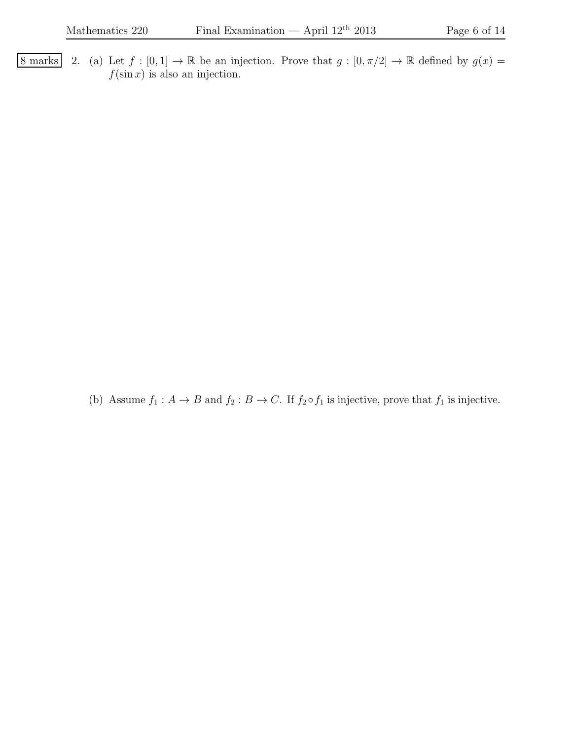8 marks 2. (a) Let  $f : [0,1] \to \mathbb{R}$  be an injection. Prove that  $g : [0, \pi/2] \to \mathbb{R}$  defined by  $g(x) =$  $f(\sin x)$  is also an injection.

(b) Assume  $f_1 : A \to B$  and  $f_2 : B \to C$ . If  $f_2 \circ f_1$  is injective, prove that  $f_1$  is injective.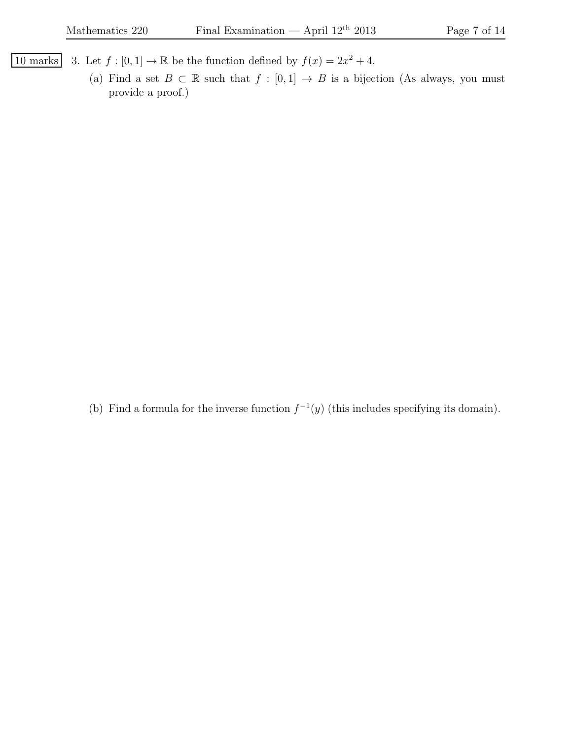- 10 marks 3. Let  $f : [0,1] \to \mathbb{R}$  be the function defined by  $f(x) = 2x^2 + 4$ .
	- (a) Find a set  $B \subset \mathbb{R}$  such that  $f : [0,1] \to B$  is a bijection (As always, you must provide a proof.)

(b) Find a formula for the inverse function  $f^{-1}(y)$  (this includes specifying its domain).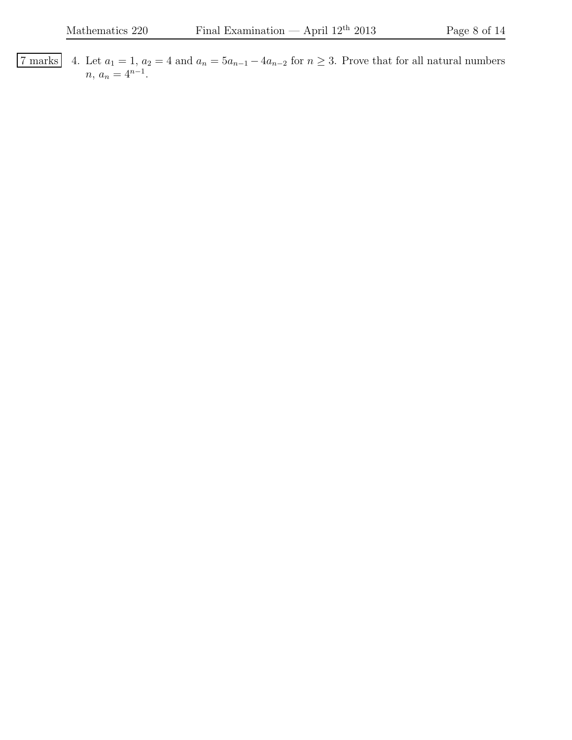7 marks 4. Let  $a_1 = 1$ ,  $a_2 = 4$  and  $a_n = 5a_{n-1} - 4a_{n-2}$  for  $n \ge 3$ . Prove that for all natural numbers  $n, a_n = 4^{n-1}.$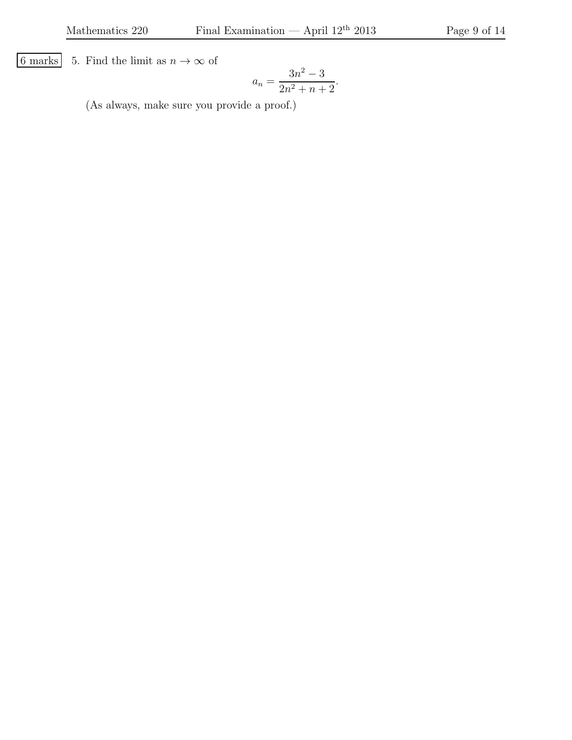6 marks 5. Find the limit as  $n \to \infty$  of

$$
a_n = \frac{3n^2 - 3}{2n^2 + n + 2}.
$$

(As always, make sure you provide a proof.)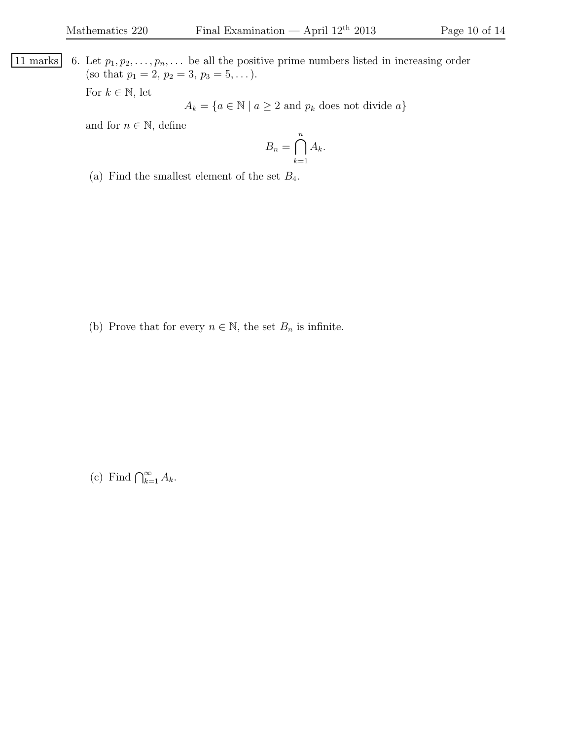| 11 marks                     | 6. Let $p_1, p_2, \ldots, p_n, \ldots$ be all the positive prime numbers listed in increasing order (so that $p_1 = 2, p_2 = 3, p_3 = 5, \ldots$ ). |
|------------------------------|-----------------------------------------------------------------------------------------------------------------------------------------------------|
| For $k \in \mathbb{N}$ , let | $A_k = \{a \in \mathbb{N} \mid a \geq 2 \text{ and } p_k \text{ does not divide } a\}$                                                              |

and for  $n \in \mathbb{N}$ , define

$$
B_n = \bigcap_{k=1}^n A_k.
$$

(a) Find the smallest element of the set  $B_4$ .

(b) Prove that for every  $n\in\mathbb{N},$  the set  $B_n$  is infinite.

(c) Find  $\bigcap_{k=1}^{\infty} A_k$ .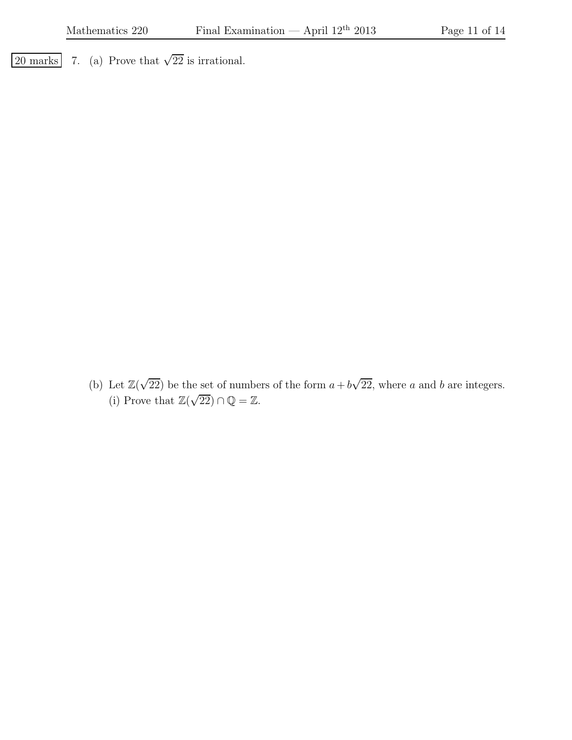$\overline{20 \text{ marks}}$  7. (a) Prove that  $\sqrt{22}$  is irrational.

(b) Let  $\mathbb{Z}(\sqrt{22})$  be the set of numbers of the form  $a + b\sqrt{22}$ , where a and b are integers. (i) Prove that  $\mathbb{Z}(\sqrt{22}) \cap \mathbb{Q} = \mathbb{Z}$ .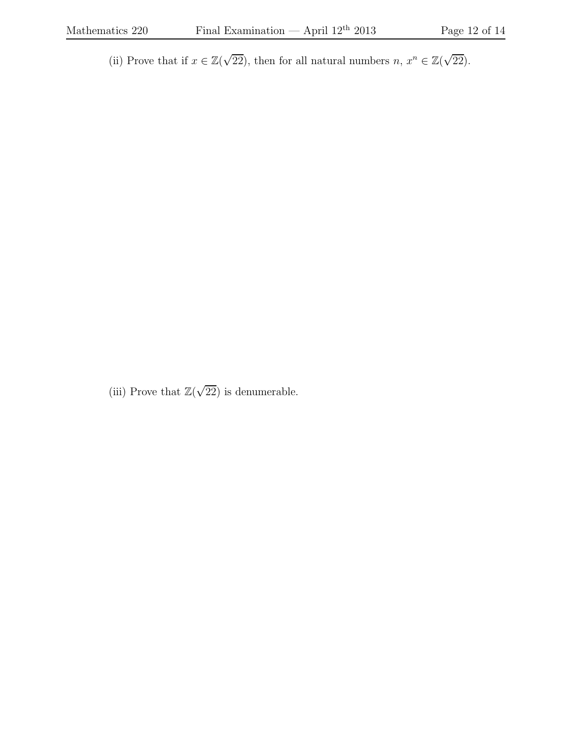(ii) Prove that if  $x \in \mathbb{Z}(\sqrt{22})$ , then for all natural numbers  $n, x^n \in \mathbb{Z}(\sqrt{22})$ .

(iii) Prove that  $\mathbb{Z}(\sqrt{22})$  is denumerable.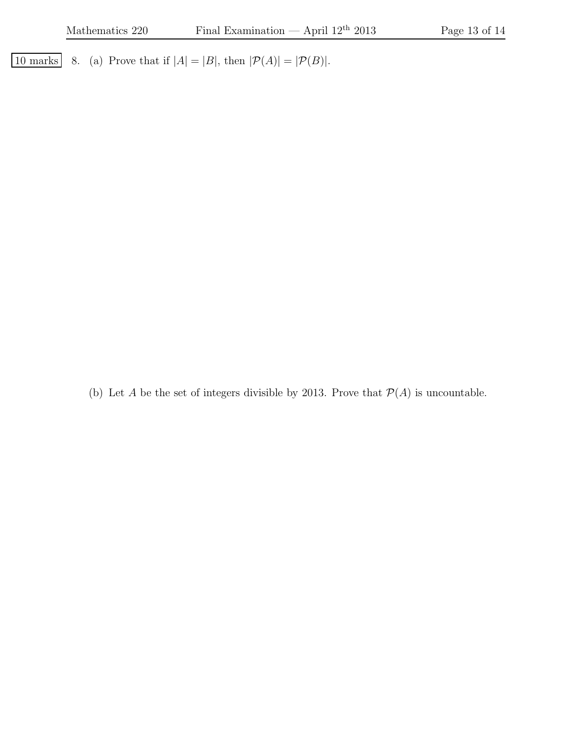10 marks 8. (a) Prove that if  $|A| = |B|$ , then  $|\mathcal{P}(A)| = |\mathcal{P}(B)|$ .

(b) Let  $A$  be the set of integers divisible by 2013. Prove that  $\mathcal{P}(A)$  is uncountable.